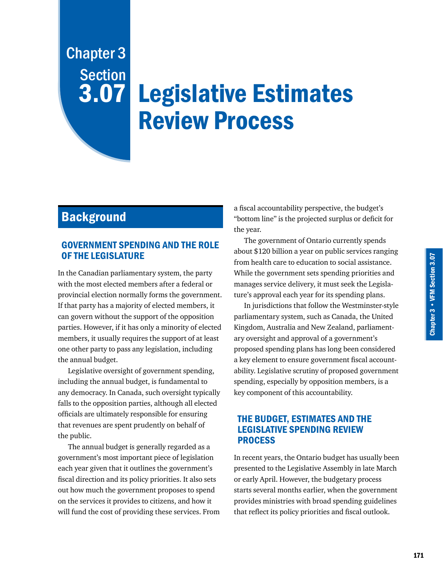# Legislative Estimates Review Process Chapter 3 **Section** 3.07

# **Background**

# GOVERNMENT SPENDING AND THE ROLE OF THE LEGISLATURE

In the Canadian parliamentary system, the party with the most elected members after a federal or provincial election normally forms the government. If that party has a majority of elected members, it can govern without the support of the opposition parties. However, if it has only a minority of elected members, it usually requires the support of at least one other party to pass any legislation, including the annual budget.

Legislative oversight of government spending, including the annual budget, is fundamental to any democracy. In Canada, such oversight typically falls to the opposition parties, although all elected officials are ultimately responsible for ensuring that revenues are spent prudently on behalf of the public.

The annual budget is generally regarded as a government's most important piece of legislation each year given that it outlines the government's fiscal direction and its policy priorities. It also sets out how much the government proposes to spend on the services it provides to citizens, and how it will fund the cost of providing these services. From

a fiscal accountability perspective, the budget's "bottom line" is the projected surplus or deficit for the year.

The government of Ontario currently spends about \$120 billion a year on public services ranging from health care to education to social assistance. While the government sets spending priorities and manages service delivery, it must seek the Legislature's approval each year for its spending plans.

In jurisdictions that follow the Westminster-style parliamentary system, such as Canada, the United Kingdom, Australia and New Zealand, parliamentary oversight and approval of a government's proposed spending plans has long been considered a key element to ensure government fiscal accountability. Legislative scrutiny of proposed government spending, especially by opposition members, is a key component of this accountability.

# THE BUDGET, ESTIMATES AND THE LEGISLATIVE SPENDING REVIEW PROCESS

In recent years, the Ontario budget has usually been presented to the Legislative Assembly in late March or early April. However, the budgetary process starts several months earlier, when the government provides ministries with broad spending guidelines that reflect its policy priorities and fiscal outlook.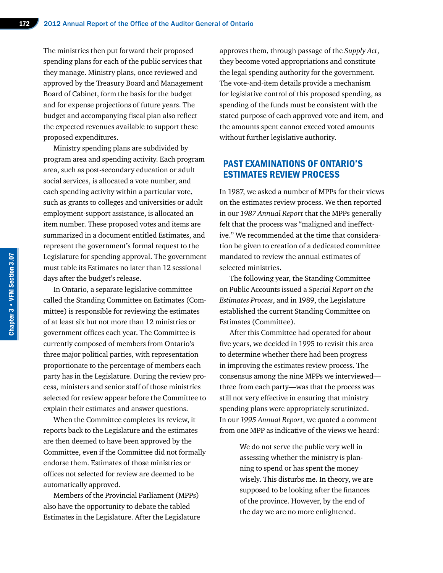The ministries then put forward their proposed spending plans for each of the public services that they manage. Ministry plans, once reviewed and approved by the Treasury Board and Management Board of Cabinet, form the basis for the budget and for expense projections of future years. The budget and accompanying fiscal plan also reflect the expected revenues available to support these proposed expenditures.

Ministry spending plans are subdivided by program area and spending activity. Each program area, such as post-secondary education or adult social services, is allocated a vote number, and each spending activity within a particular vote, such as grants to colleges and universities or adult employment-support assistance, is allocated an item number. These proposed votes and items are summarized in a document entitled Estimates, and represent the government's formal request to the Legislature for spending approval. The government must table its Estimates no later than 12 sessional days after the budget's release.

In Ontario, a separate legislative committee called the Standing Committee on Estimates (Committee) is responsible for reviewing the estimates of at least six but not more than 12 ministries or government offices each year. The Committee is currently composed of members from Ontario's three major political parties, with representation proportionate to the percentage of members each party has in the Legislature. During the review process, ministers and senior staff of those ministries selected for review appear before the Committee to explain their estimates and answer questions.

When the Committee completes its review, it reports back to the Legislature and the estimates are then deemed to have been approved by the Committee, even if the Committee did not formally endorse them. Estimates of those ministries or offices not selected for review are deemed to be automatically approved.

Members of the Provincial Parliament (MPPs) also have the opportunity to debate the tabled Estimates in the Legislature. After the Legislature approves them, through passage of the *Supply Act*, they become voted appropriations and constitute the legal spending authority for the government. The vote-and-item details provide a mechanism for legislative control of this proposed spending, as spending of the funds must be consistent with the stated purpose of each approved vote and item, and the amounts spent cannot exceed voted amounts without further legislative authority.

# PAST EXAMINATIONS OF ONTARIO'S ESTIMATES REVIEW PROCESS

In 1987, we asked a number of MPPs for their views on the estimates review process. We then reported in our *1987 Annual Report* that the MPPs generally felt that the process was "maligned and ineffective." We recommended at the time that consideration be given to creation of a dedicated committee mandated to review the annual estimates of selected ministries.

The following year, the Standing Committee on Public Accounts issued a *Special Report on the Estimates Process*, and in 1989, the Legislature established the current Standing Committee on Estimates (Committee).

After this Committee had operated for about five years, we decided in 1995 to revisit this area to determine whether there had been progress in improving the estimates review process. The consensus among the nine MPPs we interviewed three from each party—was that the process was still not very effective in ensuring that ministry spending plans were appropriately scrutinized. In our *1995 Annual Report*, we quoted a comment from one MPP as indicative of the views we heard:

> We do not serve the public very well in assessing whether the ministry is planning to spend or has spent the money wisely. This disturbs me. In theory, we are supposed to be looking after the finances of the province. However, by the end of the day we are no more enlightened.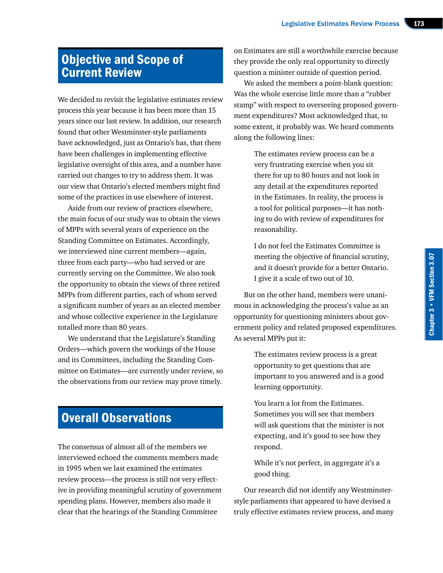# Objective and Scope of Current Review

We decided to revisit the legislative estimates review process this year because it has been more than 15 years since our last review. In addition, our research found that other Westminster-style parliaments have acknowledged, just as Ontario's has, that there have been challenges in implementing effective legislative oversight of this area, and a number have carried out changes to try to address them. It was our view that Ontario's elected members might find some of the practices in use elsewhere of interest.

Aside from our review of practices elsewhere, the main focus of our study was to obtain the views of MPPs with several years of experience on the Standing Committee on Estimates. Accordingly, we interviewed nine current members—again, three from each party—who had served or are currently serving on the Committee. We also took the opportunity to obtain the views of three retired MPPs from different parties, each of whom served a significant number of years as an elected member and whose collective experience in the Legislature totalled more than 80 years.

We understand that the Legislature's Standing Orders—which govern the workings of the House and its Committees, including the Standing Committee on Estimates—are currently under review, so the observations from our review may prove timely.

# Overall Observations

The consensus of almost all of the members we interviewed echoed the comments members made in 1995 when we last examined the estimates review process—the process is still not very effective in providing meaningful scrutiny of government spending plans. However, members also made it clear that the hearings of the Standing Committee

on Estimates are still a worthwhile exercise because they provide the only real opportunity to directly question a minister outside of question period.

We asked the members a point-blank question: Was the whole exercise little more than a "rubber stamp" with respect to overseeing proposed government expenditures? Most acknowledged that, to some extent, it probably was. We heard comments along the following lines:

> The estimates review process can be a very frustrating exercise when you sit there for up to 80 hours and not look in any detail at the expenditures reported in the Estimates. In reality, the process is a tool for political purposes—it has nothing to do with review of expenditures for reasonability.

I do not feel the Estimates Committee is meeting the objective of financial scrutiny, and it doesn't provide for a better Ontario. I give it a scale of two out of 10.

But on the other hand, members were unanimous in acknowledging the process's value as an opportunity for questioning ministers about government policy and related proposed expenditures. As several MPPs put it:

> The estimates review process is a great opportunity to get questions that are important to you answered and is a good learning opportunity.

> You learn a lot from the Estimates. Sometimes you will see that members will ask questions that the minister is not expecting, and it's good to see how they respond.

While it's not perfect, in aggregate it's a good thing.

Our research did not identify any Westminsterstyle parliaments that appeared to have devised a truly effective estimates review process, and many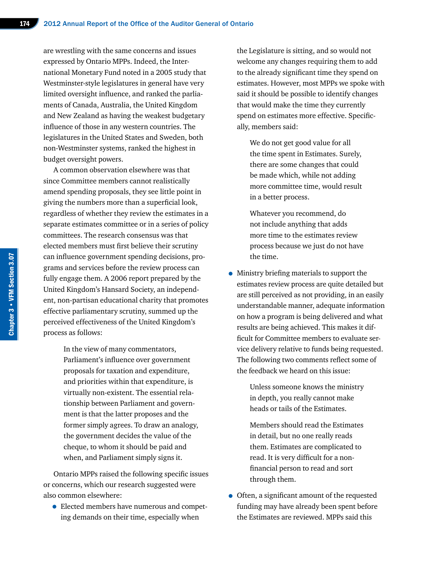are wrestling with the same concerns and issues expressed by Ontario MPPs. Indeed, the International Monetary Fund noted in a 2005 study that Westminster-style legislatures in general have very limited oversight influence, and ranked the parliaments of Canada, Australia, the United Kingdom and New Zealand as having the weakest budgetary influence of those in any western countries. The legislatures in the United States and Sweden, both non-Westminster systems, ranked the highest in budget oversight powers.

A common observation elsewhere was that since Committee members cannot realistically amend spending proposals, they see little point in giving the numbers more than a superficial look, regardless of whether they review the estimates in a separate estimates committee or in a series of policy committees. The research consensus was that elected members must first believe their scrutiny can influence government spending decisions, programs and services before the review process can fully engage them. A 2006 report prepared by the United Kingdom's Hansard Society, an independent, non-partisan educational charity that promotes effective parliamentary scrutiny, summed up the perceived effectiveness of the United Kingdom's process as follows:

> In the view of many commentators, Parliament's influence over government proposals for taxation and expenditure, and priorities within that expenditure, is virtually non-existent. The essential relationship between Parliament and government is that the latter proposes and the former simply agrees. To draw an analogy, the government decides the value of the cheque, to whom it should be paid and when, and Parliament simply signs it.

Ontario MPPs raised the following specific issues or concerns, which our research suggested were also common elsewhere:

• Elected members have numerous and competing demands on their time, especially when

the Legislature is sitting, and so would not welcome any changes requiring them to add to the already significant time they spend on estimates. However, most MPPs we spoke with said it should be possible to identify changes that would make the time they currently spend on estimates more effective. Specifically, members said:

We do not get good value for all the time spent in Estimates. Surely, there are some changes that could be made which, while not adding more committee time, would result in a better process.

Whatever you recommend, do not include anything that adds more time to the estimates review process because we just do not have the time.

• Ministry briefing materials to support the estimates review process are quite detailed but are still perceived as not providing, in an easily understandable manner, adequate information on how a program is being delivered and what results are being achieved. This makes it difficult for Committee members to evaluate service delivery relative to funds being requested. The following two comments reflect some of the feedback we heard on this issue:

> Unless someone knows the ministry in depth, you really cannot make heads or tails of the Estimates.

> Members should read the Estimates in detail, but no one really reads them. Estimates are complicated to read. It is very difficult for a nonfinancial person to read and sort through them.

• Often, a significant amount of the requested funding may have already been spent before the Estimates are reviewed. MPPs said this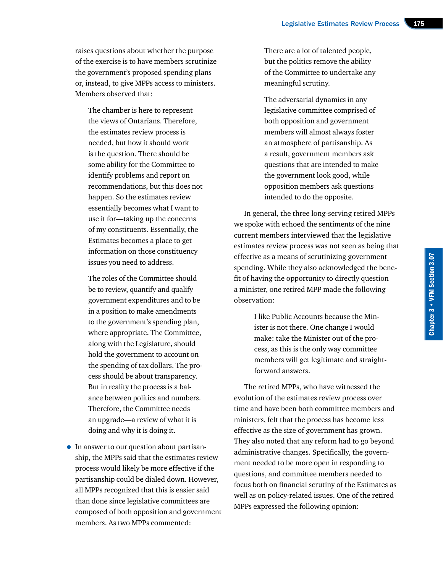raises questions about whether the purpose of the exercise is to have members scrutinize the government's proposed spending plans or, instead, to give MPPs access to ministers. Members observed that:

The chamber is here to represent the views of Ontarians. Therefore, the estimates review process is needed, but how it should work is the question. There should be some ability for the Committee to identify problems and report on recommendations, but this does not happen. So the estimates review essentially becomes what I want to use it for—taking up the concerns of my constituents. Essentially, the Estimates becomes a place to get information on those constituency issues you need to address.

The roles of the Committee should be to review, quantify and qualify government expenditures and to be in a position to make amendments to the government's spending plan, where appropriate. The Committee, along with the Legislature, should hold the government to account on the spending of tax dollars. The process should be about transparency. But in reality the process is a balance between politics and numbers. Therefore, the Committee needs an upgrade—a review of what it is doing and why it is doing it.

• In answer to our question about partisanship, the MPPs said that the estimates review process would likely be more effective if the partisanship could be dialed down. However, all MPPs recognized that this is easier said than done since legislative committees are composed of both opposition and government members. As two MPPs commented:

There are a lot of talented people, but the politics remove the ability of the Committee to undertake any meaningful scrutiny.

The adversarial dynamics in any legislative committee comprised of both opposition and government members will almost always foster an atmosphere of partisanship. As a result, government members ask questions that are intended to make the government look good, while opposition members ask questions intended to do the opposite.

In general, the three long-serving retired MPPs we spoke with echoed the sentiments of the nine current members interviewed that the legislative estimates review process was not seen as being that effective as a means of scrutinizing government spending. While they also acknowledged the benefit of having the opportunity to directly question a minister, one retired MPP made the following observation:

> I like Public Accounts because the Minister is not there. One change I would make: take the Minister out of the process, as this is the only way committee members will get legitimate and straightforward answers.

The retired MPPs, who have witnessed the evolution of the estimates review process over time and have been both committee members and ministers, felt that the process has become less effective as the size of government has grown. They also noted that any reform had to go beyond administrative changes. Specifically, the government needed to be more open in responding to questions, and committee members needed to focus both on financial scrutiny of the Estimates as well as on policy-related issues. One of the retired MPPs expressed the following opinion: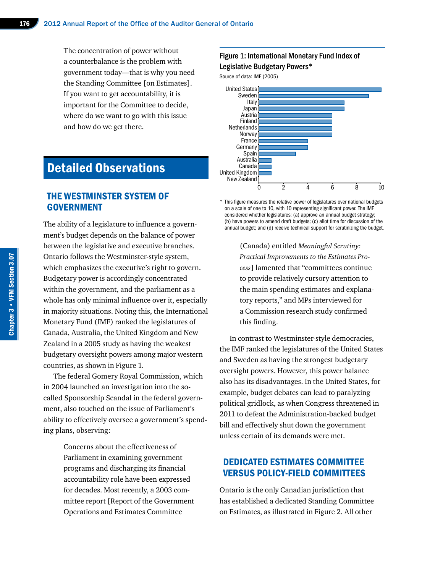The concentration of power without a counterbalance is the problem with government today—that is why you need the Standing Committee [on Estimates]. If you want to get accountability, it is important for the Committee to decide, where do we want to go with this issue and how do we get there.

# Detailed Observations

### THE WESTMINSTER SYSTEM OF **GOVERNMENT**

The ability of a legislature to influence a government's budget depends on the balance of power between the legislative and executive branches. Ontario follows the Westminster-style system, which emphasizes the executive's right to govern. Budgetary power is accordingly concentrated within the government, and the parliament as a whole has only minimal influence over it, especially in majority situations. Noting this, the International Monetary Fund (IMF) ranked the legislatures of Canada, Australia, the United Kingdom and New Zealand in a 2005 study as having the weakest budgetary oversight powers among major western countries, as shown in Figure 1.

The federal Gomery Royal Commission, which in 2004 launched an investigation into the socalled Sponsorship Scandal in the federal government, also touched on the issue of Parliament's ability to effectively oversee a government's spending plans, observing:

> Concerns about the effectiveness of Parliament in examining government programs and discharging its financial accountability role have been expressed for decades. Most recently, a 2003 committee report [Report of the Government Operations and Estimates Committee

#### Figure 1: International Monetary Fund Index of Legislative Budgetary Powers\*

Source of data: IMF (2005)



\* This figure measures the relative power of legislatures over national budgets on a scale of one to 10, with 10 representing significant power. The IMF considered whether legislatures: (a) approve an annual budget strategy; (b) have powers to amend draft budgets; (c) allot time for discussion of the annual budget; and (d) receive technical support for scrutinizing the budget.

> (Canada) entitled *Meaningful Scrutiny: Practical Improvements to the Estimates Process*] lamented that "committees continue to provide relatively cursory attention to the main spending estimates and explanatory reports," and MPs interviewed for a Commission research study confirmed this finding.

In contrast to Westminster-style democracies, the IMF ranked the legislatures of the United States and Sweden as having the strongest budgetary oversight powers. However, this power balance also has its disadvantages. In the United States, for example, budget debates can lead to paralyzing political gridlock, as when Congress threatened in 2011 to defeat the Administration-backed budget bill and effectively shut down the government unless certain of its demands were met.

### DEDICATED ESTIMATES COMMITTEE VERSUS POLICY-FIELD COMMITTEES

Ontario is the only Canadian jurisdiction that has established a dedicated Standing Committee on Estimates, as illustrated in Figure 2. All other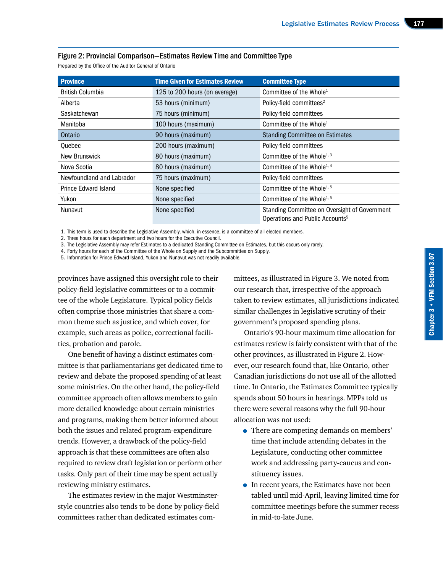#### Figure 2: Provincial Comparison—Estimates Review Time and Committee Type

Prepared by the Office of the Auditor General of Ontario

| <b>Province</b>             | <b>Time Given for Estimates Review</b> | <b>Committee Type</b>                                                                        |
|-----------------------------|----------------------------------------|----------------------------------------------------------------------------------------------|
| <b>British Columbia</b>     | 125 to 200 hours (on average)          | Committee of the Whole <sup>1</sup>                                                          |
| Alberta                     | 53 hours (minimum)                     | Policy-field committees <sup>2</sup>                                                         |
| Saskatchewan                | 75 hours (minimum)                     | Policy-field committees                                                                      |
| Manitoba                    | 100 hours (maximum)                    | Committee of the Whole <sup>1</sup>                                                          |
| Ontario                     | 90 hours (maximum)                     | <b>Standing Committee on Estimates</b>                                                       |
| Quebec                      | 200 hours (maximum)                    | Policy-field committees                                                                      |
| <b>New Brunswick</b>        | 80 hours (maximum)                     | Committee of the Whole <sup>1, 3</sup>                                                       |
| Nova Scotia                 | 80 hours (maximum)                     | Committee of the Whole <sup>1, 4</sup>                                                       |
| Newfoundland and Labrador   | 75 hours (maximum)                     | Policy-field committees                                                                      |
| <b>Prince Edward Island</b> | None specified                         | Committee of the Whole <sup>1, 5</sup>                                                       |
| Yukon                       | None specified                         | Committee of the Whole <sup>1, 5</sup>                                                       |
| Nunavut                     | None specified                         | Standing Committee on Oversight of Government<br>Operations and Public Accounts <sup>5</sup> |

1. This term is used to describe the Legislative Assembly, which, in essence, is a committee of all elected members.

2. Three hours for each department and two hours for the Executive Council.

3. The Legislative Assembly may refer Estimates to a dedicated Standing Committee on Estimates, but this occurs only rarely.

4. Forty hours for each of the Committee of the Whole on Supply and the Subcommittee on Supply.

5. Information for Prince Edward Island, Yukon and Nunavut was not readily available.

provinces have assigned this oversight role to their policy-field legislative committees or to a committee of the whole Legislature. Typical policy fields often comprise those ministries that share a common theme such as justice, and which cover, for example, such areas as police, correctional facilities, probation and parole.

One benefit of having a distinct estimates committee is that parliamentarians get dedicated time to review and debate the proposed spending of at least some ministries. On the other hand, the policy-field committee approach often allows members to gain more detailed knowledge about certain ministries and programs, making them better informed about both the issues and related program-expenditure trends. However, a drawback of the policy-field approach is that these committees are often also required to review draft legislation or perform other tasks. Only part of their time may be spent actually reviewing ministry estimates.

The estimates review in the major Westminsterstyle countries also tends to be done by policy-field committees rather than dedicated estimates committees, as illustrated in Figure 3. We noted from our research that, irrespective of the approach taken to review estimates, all jurisdictions indicated similar challenges in legislative scrutiny of their government's proposed spending plans.

Ontario's 90-hour maximum time allocation for estimates review is fairly consistent with that of the other provinces, as illustrated in Figure 2. However, our research found that, like Ontario, other Canadian jurisdictions do not use all of the allotted time. In Ontario, the Estimates Committee typically spends about 50 hours in hearings. MPPs told us there were several reasons why the full 90-hour allocation was not used:

- There are competing demands on members' time that include attending debates in the Legislature, conducting other committee work and addressing party-caucus and constituency issues.
- In recent years, the Estimates have not been tabled until mid-April, leaving limited time for committee meetings before the summer recess in mid-to-late June.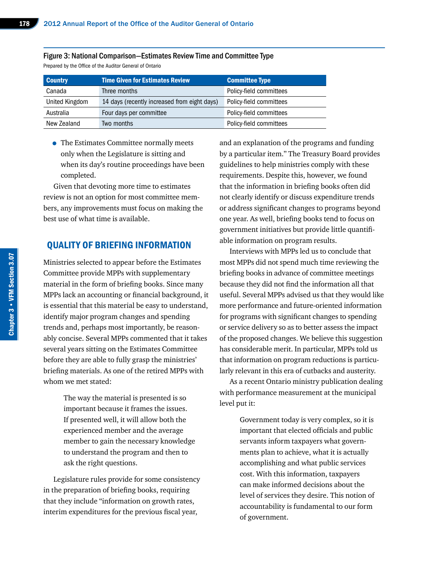| <b>Country</b> | <b>Time Given for Estimates Review</b>       | <b>Committee Type</b>   |
|----------------|----------------------------------------------|-------------------------|
| Canada         | Three months                                 | Policy-field committees |
| United Kingdom | 14 days (recently increased from eight days) | Policy-field committees |
| Australia      | Four days per committee                      | Policy-field committees |
| New Zealand    | Two months                                   | Policy-field committees |

#### Figure 3: National Comparison—Estimates Review Time and Committee Type

Prepared by the Office of the Auditor General of Ontario

• The Estimates Committee normally meets only when the Legislature is sitting and when its day's routine proceedings have been completed.

Given that devoting more time to estimates review is not an option for most committee members, any improvements must focus on making the best use of what time is available.

#### QUALITY OF BRIEFING INFORMATION

Ministries selected to appear before the Estimates Committee provide MPPs with supplementary material in the form of briefing books. Since many MPPs lack an accounting or financial background, it is essential that this material be easy to understand, identify major program changes and spending trends and, perhaps most importantly, be reasonably concise. Several MPPs commented that it takes several years sitting on the Estimates Committee before they are able to fully grasp the ministries' briefing materials. As one of the retired MPPs with whom we met stated:

> The way the material is presented is so important because it frames the issues. If presented well, it will allow both the experienced member and the average member to gain the necessary knowledge to understand the program and then to ask the right questions.

Legislature rules provide for some consistency in the preparation of briefing books, requiring that they include "information on growth rates, interim expenditures for the previous fiscal year,

and an explanation of the programs and funding by a particular item." The Treasury Board provides guidelines to help ministries comply with these requirements. Despite this, however, we found that the information in briefing books often did not clearly identify or discuss expenditure trends or address significant changes to programs beyond one year. As well, briefing books tend to focus on government initiatives but provide little quantifiable information on program results.

Interviews with MPPs led us to conclude that most MPPs did not spend much time reviewing the briefing books in advance of committee meetings because they did not find the information all that useful. Several MPPs advised us that they would like more performance and future-oriented information for programs with significant changes to spending or service delivery so as to better assess the impact of the proposed changes. We believe this suggestion has considerable merit. In particular, MPPs told us that information on program reductions is particularly relevant in this era of cutbacks and austerity.

As a recent Ontario ministry publication dealing with performance measurement at the municipal level put it:

> Government today is very complex, so it is important that elected officials and public servants inform taxpayers what governments plan to achieve, what it is actually accomplishing and what public services cost. With this information, taxpayers can make informed decisions about the level of services they desire. This notion of accountability is fundamental to our form of government.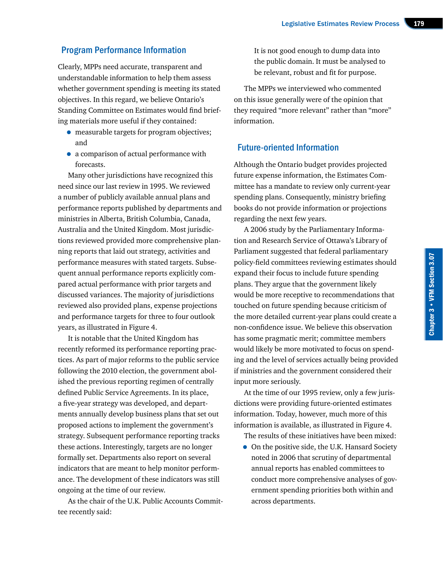### Program Performance Information

Clearly, MPPs need accurate, transparent and understandable information to help them assess whether government spending is meeting its stated objectives. In this regard, we believe Ontario's Standing Committee on Estimates would find briefing materials more useful if they contained:

- measurable targets for program objectives; and
- a comparison of actual performance with forecasts.

Many other jurisdictions have recognized this need since our last review in 1995. We reviewed a number of publicly available annual plans and performance reports published by departments and ministries in Alberta, British Columbia, Canada, Australia and the United Kingdom. Most jurisdictions reviewed provided more comprehensive planning reports that laid out strategy, activities and performance measures with stated targets. Subsequent annual performance reports explicitly compared actual performance with prior targets and discussed variances. The majority of jurisdictions reviewed also provided plans, expense projections and performance targets for three to four outlook years, as illustrated in Figure 4.

It is notable that the United Kingdom has recently reformed its performance reporting practices. As part of major reforms to the public service following the 2010 election, the government abolished the previous reporting regimen of centrally defined Public Service Agreements. In its place, a five-year strategy was developed, and departments annually develop business plans that set out proposed actions to implement the government's strategy. Subsequent performance reporting tracks these actions. Interestingly, targets are no longer formally set. Departments also report on several indicators that are meant to help monitor performance. The development of these indicators was still ongoing at the time of our review.

As the chair of the U.K. Public Accounts Committee recently said:

It is not good enough to dump data into the public domain. It must be analysed to be relevant, robust and fit for purpose.

The MPPs we interviewed who commented on this issue generally were of the opinion that they required "more relevant" rather than "more" information.

### Future-oriented Information

Although the Ontario budget provides projected future expense information, the Estimates Committee has a mandate to review only current-year spending plans. Consequently, ministry briefing books do not provide information or projections regarding the next few years.

A 2006 study by the Parliamentary Information and Research Service of Ottawa's Library of Parliament suggested that federal parliamentary policy-field committees reviewing estimates should expand their focus to include future spending plans. They argue that the government likely would be more receptive to recommendations that touched on future spending because criticism of the more detailed current-year plans could create a non-confidence issue. We believe this observation has some pragmatic merit; committee members would likely be more motivated to focus on spending and the level of services actually being provided if ministries and the government considered their input more seriously.

At the time of our 1995 review, only a few jurisdictions were providing future-oriented estimates information. Today, however, much more of this information is available, as illustrated in Figure 4.

The results of these initiatives have been mixed:

• On the positive side, the U.K. Hansard Society noted in 2006 that scrutiny of departmental annual reports has enabled committees to conduct more comprehensive analyses of government spending priorities both within and across departments.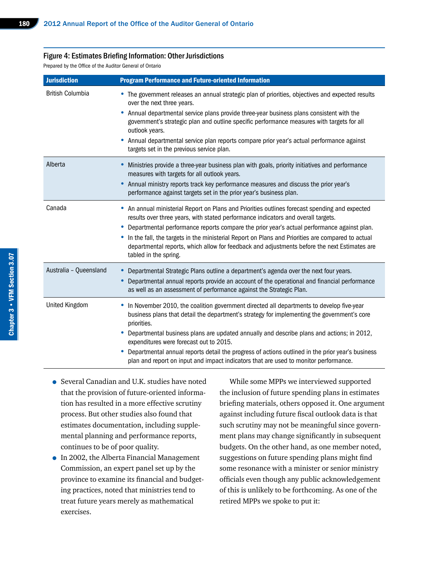#### Figure 4: Estimates Briefing Information: Other Jurisdictions

Prepared by the Office of the Auditor General of Ontario

| <b>Jurisdiction</b>     | <b>Program Performance and Future-oriented Information</b>                                                                                                                                                                                                                                                                                                                                                                                                                                                                                                                |
|-------------------------|---------------------------------------------------------------------------------------------------------------------------------------------------------------------------------------------------------------------------------------------------------------------------------------------------------------------------------------------------------------------------------------------------------------------------------------------------------------------------------------------------------------------------------------------------------------------------|
| <b>British Columbia</b> | • The government releases an annual strategic plan of priorities, objectives and expected results<br>over the next three years.<br>Annual departmental service plans provide three-year business plans consistent with the<br>٠<br>government's strategic plan and outline specific performance measures with targets for all<br>outlook years.<br>Annual departmental service plan reports compare prior year's actual performance against<br>٠<br>targets set in the previous service plan.                                                                             |
| Alberta                 | Ministries provide a three-year business plan with goals, priority initiatives and performance<br>measures with targets for all outlook years.<br>Annual ministry reports track key performance measures and discuss the prior year's<br>$\bullet$<br>performance against targets set in the prior year's business plan.                                                                                                                                                                                                                                                  |
| Canada                  | • An annual ministerial Report on Plans and Priorities outlines forecast spending and expected<br>results over three years, with stated performance indicators and overall targets.<br>• Departmental performance reports compare the prior year's actual performance against plan.<br>• In the fall, the targets in the ministerial Report on Plans and Priorities are compared to actual<br>departmental reports, which allow for feedback and adjustments before the next Estimates are<br>tabled in the spring.                                                       |
| Australia - Queensland  | Departmental Strategic Plans outline a department's agenda over the next four years.<br>$\bullet$<br>Departmental annual reports provide an account of the operational and financial performance<br>$\bullet$<br>as well as an assessment of performance against the Strategic Plan.                                                                                                                                                                                                                                                                                      |
| <b>United Kingdom</b>   | In November 2010, the coalition government directed all departments to develop five-year<br>$\bullet$<br>business plans that detail the department's strategy for implementing the government's core<br>priorities.<br>Departmental business plans are updated annually and describe plans and actions; in 2012,<br>٠<br>expenditures were forecast out to 2015.<br>Departmental annual reports detail the progress of actions outlined in the prior year's business<br>$\bullet$<br>plan and report on input and impact indicators that are used to monitor performance. |

- Several Canadian and U.K. studies have noted that the provision of future-oriented information has resulted in a more effective scrutiny process. But other studies also found that estimates documentation, including supplemental planning and performance reports, continues to be of poor quality.
- In 2002, the Alberta Financial Management Commission, an expert panel set up by the province to examine its financial and budgeting practices, noted that ministries tend to treat future years merely as mathematical exercises.

While some MPPs we interviewed supported the inclusion of future spending plans in estimates briefing materials, others opposed it. One argument against including future fiscal outlook data is that such scrutiny may not be meaningful since government plans may change significantly in subsequent budgets. On the other hand, as one member noted, suggestions on future spending plans might find some resonance with a minister or senior ministry officials even though any public acknowledgement of this is unlikely to be forthcoming. As one of the retired MPPs we spoke to put it: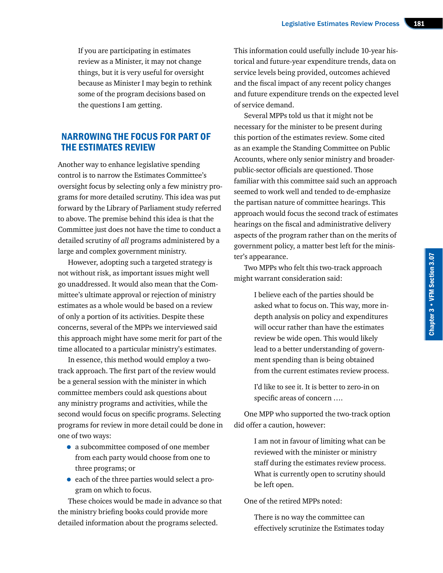If you are participating in estimates review as a Minister, it may not change things, but it is very useful for oversight because as Minister I may begin to rethink some of the program decisions based on the questions I am getting.

# NARROWING THE FOCUS FOR PART OF THE ESTIMATES REVIEW

Another way to enhance legislative spending control is to narrow the Estimates Committee's oversight focus by selecting only a few ministry programs for more detailed scrutiny. This idea was put forward by the Library of Parliament study referred to above. The premise behind this idea is that the Committee just does not have the time to conduct a detailed scrutiny of *all* programs administered by a large and complex government ministry.

However, adopting such a targeted strategy is not without risk, as important issues might well go unaddressed. It would also mean that the Committee's ultimate approval or rejection of ministry estimates as a whole would be based on a review of only a portion of its activities. Despite these concerns, several of the MPPs we interviewed said this approach might have some merit for part of the time allocated to a particular ministry's estimates.

In essence, this method would employ a twotrack approach. The first part of the review would be a general session with the minister in which committee members could ask questions about any ministry programs and activities, while the second would focus on specific programs. Selecting programs for review in more detail could be done in one of two ways:

- a subcommittee composed of one member from each party would choose from one to three programs; or
- each of the three parties would select a program on which to focus.

These choices would be made in advance so that the ministry briefing books could provide more detailed information about the programs selected.

This information could usefully include 10-year historical and future-year expenditure trends, data on service levels being provided, outcomes achieved and the fiscal impact of any recent policy changes and future expenditure trends on the expected level of service demand.

Several MPPs told us that it might not be necessary for the minister to be present during this portion of the estimates review. Some cited as an example the Standing Committee on Public Accounts, where only senior ministry and broaderpublic-sector officials are questioned. Those familiar with this committee said such an approach seemed to work well and tended to de-emphasize the partisan nature of committee hearings. This approach would focus the second track of estimates hearings on the fiscal and administrative delivery aspects of the program rather than on the merits of government policy, a matter best left for the minister's appearance.

Two MPPs who felt this two-track approach might warrant consideration said:

> I believe each of the parties should be asked what to focus on. This way, more indepth analysis on policy and expenditures will occur rather than have the estimates review be wide open. This would likely lead to a better understanding of government spending than is being obtained from the current estimates review process.

I'd like to see it. It is better to zero-in on specific areas of concern ….

One MPP who supported the two-track option did offer a caution, however:

> I am not in favour of limiting what can be reviewed with the minister or ministry staff during the estimates review process. What is currently open to scrutiny should be left open.

One of the retired MPPs noted:

There is no way the committee can effectively scrutinize the Estimates today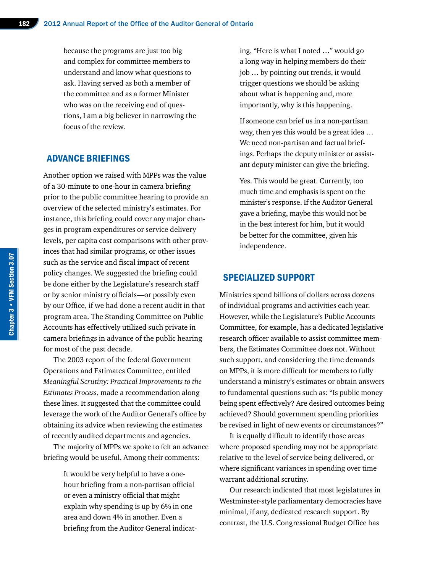because the programs are just too big and complex for committee members to understand and know what questions to ask. Having served as both a member of the committee and as a former Minister who was on the receiving end of questions, I am a big believer in narrowing the focus of the review.

### ADVANCE BRIEFINGS

Another option we raised with MPPs was the value of a 30-minute to one-hour in camera briefing prior to the public committee hearing to provide an overview of the selected ministry's estimates. For instance, this briefing could cover any major changes in program expenditures or service delivery levels, per capita cost comparisons with other provinces that had similar programs, or other issues such as the service and fiscal impact of recent policy changes. We suggested the briefing could be done either by the Legislature's research staff or by senior ministry officials—or possibly even by our Office, if we had done a recent audit in that program area. The Standing Committee on Public Accounts has effectively utilized such private in camera briefings in advance of the public hearing for most of the past decade.

The 2003 report of the federal Government Operations and Estimates Committee, entitled *Meaningful Scrutiny: Practical Improvements to the Estimates Process*, made a recommendation along these lines. It suggested that the committee could leverage the work of the Auditor General's office by obtaining its advice when reviewing the estimates of recently audited departments and agencies.

The majority of MPPs we spoke to felt an advance briefing would be useful. Among their comments:

> It would be very helpful to have a onehour briefing from a non-partisan official or even a ministry official that might explain why spending is up by 6% in one area and down 4% in another. Even a briefing from the Auditor General indicat

ing, "Here is what I noted …" would go a long way in helping members do their job … by pointing out trends, it would trigger questions we should be asking about what is happening and, more importantly, why is this happening.

If someone can brief us in a non-partisan way, then yes this would be a great idea … We need non-partisan and factual briefings. Perhaps the deputy minister or assistant deputy minister can give the briefing.

Yes. This would be great. Currently, too much time and emphasis is spent on the minister's response. If the Auditor General gave a briefing, maybe this would not be in the best interest for him, but it would be better for the committee, given his independence.

#### SPECIALIZED SUPPORT

Ministries spend billions of dollars across dozens of individual programs and activities each year. However, while the Legislature's Public Accounts Committee, for example, has a dedicated legislative research officer available to assist committee members, the Estimates Committee does not. Without such support, and considering the time demands on MPPs, it is more difficult for members to fully understand a ministry's estimates or obtain answers to fundamental questions such as: "Is public money being spent effectively? Are desired outcomes being achieved? Should government spending priorities be revised in light of new events or circumstances?"

It is equally difficult to identify those areas where proposed spending may not be appropriate relative to the level of service being delivered, or where significant variances in spending over time warrant additional scrutiny.

Our research indicated that most legislatures in Westminster-style parliamentary democracies have minimal, if any, dedicated research support. By contrast, the U.S. Congressional Budget Office has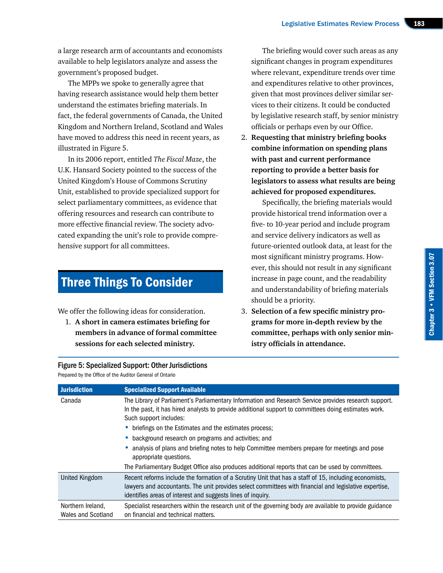Chapter 3 • VFM Section 3.07

Chapter 3 • VFM Section 3.07

a large research arm of accountants and economists available to help legislators analyze and assess the government's proposed budget.

The MPPs we spoke to generally agree that having research assistance would help them better understand the estimates briefing materials. In fact, the federal governments of Canada, the United Kingdom and Northern Ireland, Scotland and Wales have moved to address this need in recent years, as illustrated in Figure 5.

In its 2006 report, entitled *The Fiscal Maze*, the U.K. Hansard Society pointed to the success of the United Kingdom's House of Commons Scrutiny Unit, established to provide specialized support for select parliamentary committees, as evidence that offering resources and research can contribute to more effective financial review. The society advocated expanding the unit's role to provide comprehensive support for all committees.

# Three Things To Consider

We offer the following ideas for consideration.

1. **A short in camera estimates briefing for members in advance of formal committee sessions for each selected ministry.** 

#### Figure 5: Specialized Support: Other Jurisdictions

Prepared by the Office of the Auditor General of Ontario

The briefing would cover such areas as any significant changes in program expenditures where relevant, expenditure trends over time and expenditures relative to other provinces, given that most provinces deliver similar services to their citizens. It could be conducted by legislative research staff, by senior ministry officials or perhaps even by our Office.

2. **Requesting that ministry briefing books combine information on spending plans with past and current performance reporting to provide a better basis for legislators to assess what results are being achieved for proposed expenditures.**

Specifically, the briefing materials would provide historical trend information over a five- to 10-year period and include program and service delivery indicators as well as future-oriented outlook data, at least for the most significant ministry programs. However, this should not result in any significant increase in page count, and the readability and understandability of briefing materials should be a priority.

3. **Selection of a few specific ministry programs for more in-depth review by the committee, perhaps with only senior ministry officials in attendance.**

| <b>Jurisdiction</b>                     | <b>Specialized Support Available</b>                                                                                                                                                                                                                                           |
|-----------------------------------------|--------------------------------------------------------------------------------------------------------------------------------------------------------------------------------------------------------------------------------------------------------------------------------|
| Canada                                  | The Library of Parliament's Parliamentary Information and Research Service provides research support.<br>In the past, it has hired analysts to provide additional support to committees doing estimates work.<br>Such support includes:                                        |
|                                         | • briefings on the Estimates and the estimates process;                                                                                                                                                                                                                        |
|                                         | • background research on programs and activities; and                                                                                                                                                                                                                          |
|                                         | analysis of plans and briefing notes to help Committee members prepare for meetings and pose<br>appropriate questions.                                                                                                                                                         |
|                                         | The Parliamentary Budget Office also produces additional reports that can be used by committees.                                                                                                                                                                               |
| United Kingdom                          | Recent reforms include the formation of a Scrutiny Unit that has a staff of 15, including economists,<br>lawyers and accountants. The unit provides select committees with financial and legislative expertise,<br>identifies areas of interest and suggests lines of inquiry. |
| Northern Ireland,<br>Wales and Scotland | Specialist researchers within the research unit of the governing body are available to provide guidance<br>on financial and technical matters.                                                                                                                                 |